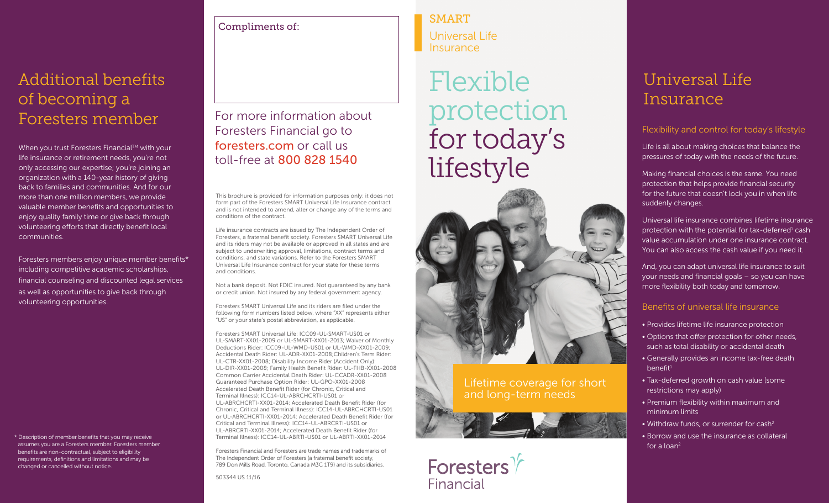### Additional benefits of becoming a Foresters member

When you trust Foresters Financial™ with your life insurance or retirement needs, you're not only accessing our expertise; you're joining an organization with a 140-year history of giving back to families and communities. And for our more than one million members, we provide valuable member benefits and opportunities to enjoy quality family time or give back through volunteering efforts that directly benefit local communities.

Foresters members enjoy unique member benefits\* including competitive academic scholarships, financial counseling and discounted legal services as well as opportunities to give back through volunteering opportunities.

\* Description of member benefits that you may receive assumes you are a Foresters member. Foresters member benefits are non-contractual, subject to eligibility requirements, definitions and limitations and may be changed or cancelled without notice.

Compliments of:

For more information about Foresters Financial go to foresters.com or call us toll-free at 800 828 1540

This brochure is provided for information purposes only; it does not form part of the Foresters SMART Universal Life Insurance contract and is not intended to amend, alter or change any of the terms and conditions of the contract.

Life insurance contracts are issued by The Independent Order of Foresters, a fraternal benefit society. Foresters SMART Universal Life and its riders may not be available or approved in all states and are subject to underwriting approval, limitations, contract terms and conditions, and state variations. Refer to the Foresters SMART Universal Life Insurance contract for your state for these terms and conditions.

Not a bank deposit. Not FDIC insured. Not guaranteed by any bank or credit union. Not insured by any federal government agency.

Foresters SMART Universal Life and its riders are filed under the following form numbers listed below, where "XX" represents either "US" or your state's postal abbreviation, as applicable.

Foresters SMART Universal Life: ICC09-UL-SMART-US01 or UL-SMART-XX01-2009 or UL-SMART-XX01-2013; Waiver of Monthly Deductions Rider: ICC09-UL-WMD-US01 or UL-WMD-XX01-2009; Accidental Death Rider: UL-ADR-XX01-2008;Children's Term Rider: UL-CTR-XX01-2008; Disability Income Rider (Accident Only): UL-DIR-XX01-2008; Family Health Benefit Rider: UL-FHB-XX01-2008 Common Carrier Accidental Death Rider: UL-CCADR-XX01-2008 Guaranteed Purchase Option Rider: UL-GPO-XX01-2008 Accelerated Death Benefit Rider (for Chronic, Critical and Terminal Illness): ICC14-UL-ABRCHCRTI-US01 or UL-ABRCHCRTI-XX01-2014; Accelerated Death Benefit Rider (for Chronic, Critical and Terminal Illness): ICC14-UL-ABRCHCRTI-US01 or UL-ABRCHCRTI-XX01-2014; Accelerated Death Benefit Rider (for Critical and Terminal Illness): ICC14-UL-ABRCRTI-US01 or UL-ABRCRTI-XX01-2014; Accelerated Death Benefit Rider (for Terminal Illness): ICC14-UL-ABRTI-US01 or UL-ABRTI-XX01-2014

Foresters Financial and Foresters are trade names and trademarks of The Independent Order of Foresters (a fraternal benefit society, 789 Don Mills Road, Toronto, Canada M3C 1T9) and its subsidiaries.

503344 US 11/16

SMART Universal Life Insurance

## Flexible protection for today's lifestyle



Lifetime coverage for short and long-term needs





## Universal Life Insurance

### Flexibility and control for today's lifestyle

Life is all about making choices that balance the pressures of today with the needs of the future.

Making financial choices is the same. You need protection that helps provide financial security for the future that doesn't lock you in when life suddenly changes.

Universal life insurance combines lifetime insurance protection with the potential for tax-deferred<sup>1</sup> cash value accumulation under one insurance contract. You can also access the cash value if you need it.

And, you can adapt universal life insurance to suit your needs and financial goals – so you can have more flexibility both today and tomorrow.

#### Benefits of universal life insurance

- Provides lifetime life insurance protection
- Options that offer protection for other needs, such as total disability or accidental death
- Generally provides an income tax-free death  $b$ enefit $1$
- Tax-deferred growth on cash value (some restrictions may apply)
- Premium flexibility within maximum and minimum limits
- Withdraw funds, or surrender for cash<sup>2</sup>
- Borrow and use the insurance as collateral for a  $\log^2$